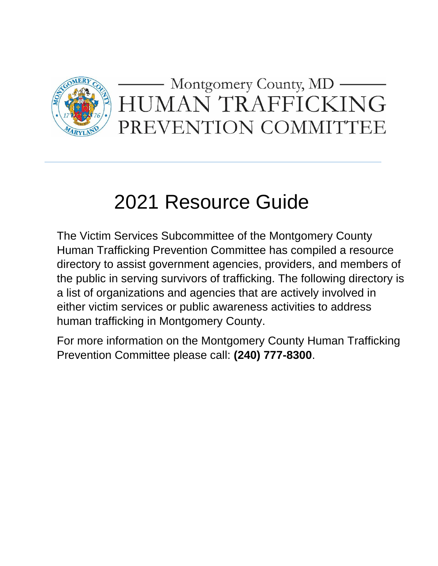

# 2021 Resource Guide

The Victim Services Subcommittee of the Montgomery County Human Trafficking Prevention Committee has compiled a resource directory to assist government agencies, providers, and members of the public in serving survivors of trafficking. The following directory is a list of organizations and agencies that are actively involved in either victim services or public awareness activities to address human trafficking in Montgomery County.

For more information on the Montgomery County Human Trafficking Prevention Committee please call: **(240) 777-8300**.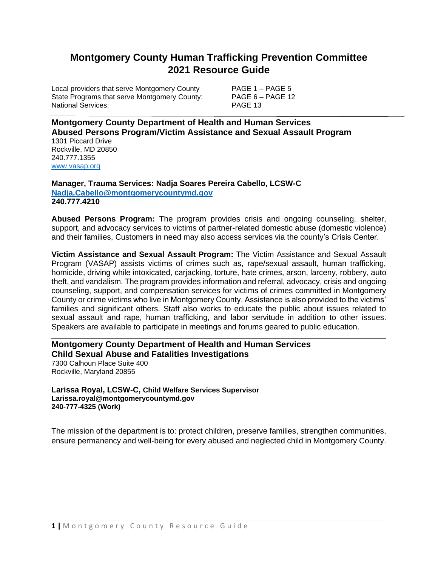# **Montgomery County Human Trafficking Prevention Committee 2021 Resource Guide**

Local providers that serve Montgomery County PAGE 1 – PAGE 5 State Programs that serve Montgomery County: PAGE 6 – PAGE 12 National Services: National Services: PAGE 13

**Montgomery County Department of Health and Human Services Abused Persons Program/Victim Assistance and Sexual Assault Program** 1301 Piccard Drive

Rockville, MD 20850 240.777.1355 [www.vasap.org](http://www.vasap.org/)

**Manager, Trauma Services: Nadja Soares Pereira Cabello, LCSW-C [Nadja.Cabello@montgomerycountymd.gov](mailto:Nadja.Cabello@montgomerycountymd.gov) 240.777.4210**

**Abused Persons Program:** The program provides crisis and ongoing counseling, shelter, support, and advocacy services to victims of partner-related domestic abuse (domestic violence) and their families, Customers in need may also access services via the county's Crisis Center.

**Victim Assistance and Sexual Assault Program:** The Victim Assistance and Sexual Assault Program (VASAP) assists victims of crimes such as, rape/sexual assault, human trafficking, homicide, driving while intoxicated, carjacking, torture, hate crimes, arson, larceny, robbery, auto theft, and vandalism. The program provides information and referral, advocacy, crisis and ongoing counseling, support, and compensation services for victims of crimes committed in Montgomery County or crime victims who live in Montgomery County. Assistance is also provided to the victims' families and significant others. Staff also works to educate the public about issues related to sexual assault and rape, human trafficking, and labor servitude in addition to other issues. Speakers are available to participate in meetings and forums geared to public education.

**Montgomery County Department of Health and Human Services Child Sexual Abuse and Fatalities Investigations** 7300 Calhoun Place Suite 400 Rockville, Maryland 20855

**Larissa Royal, LCSW-C, Child Welfare Services Supervisor [Larissa.royal@montgomerycountymd.gov](mailto:Larissa.royal@montgomerycountymd.gov) 240-777-4325 (Work)**

The mission of the department is to: protect children, preserve families, strengthen communities, ensure permanency and well‐being for every abused and neglected child in Montgomery County.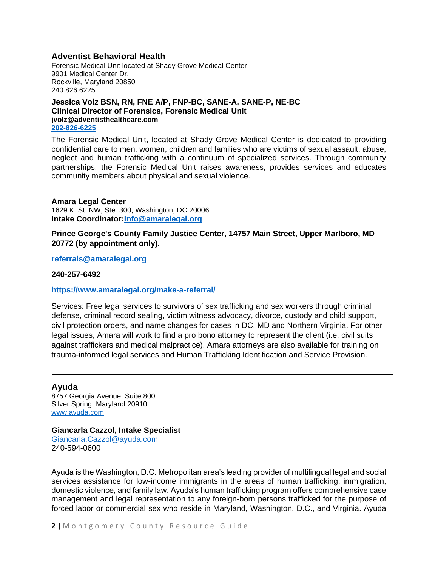## **Adventist Behavioral Health**

Forensic Medical Unit located at Shady Grove Medical Center 9901 Medical Center Dr. Rockville, Maryland 20850 240.826.6225

## **Jessica Volz BSN, RN, FNE A/P, FNP-BC, SANE-A, SANE-P, NE-BC Clinical Director of Forensics, Forensic Medical Unit jvolz@adventisthealthcare.com 202-826-6225**

The Forensic Medical Unit, located at Shady Grove Medical Center is dedicated to providing confidential care to men, women, children and families who are victims of sexual assault, abuse, neglect and human trafficking with a continuum of specialized services. Through community partnerships, the Forensic Medical Unit raises awareness, provides services and educates community members about physical and sexual violence.

#### **Amara Legal Center**

1629 K. St. NW, Ste. 300, Washington, DC 20006 **Intake Coordinator[:Info@amaralegal.org](mailto:Info@amaralegal.org)**

**Prince George's County Family Justice Center, 14757 Main Street, Upper Marlboro, MD 20772 (by appointment only).**

**[referrals@amaralegal.org](mailto:referrals@amaralegal.org)**

**240-257-6492**

**<https://www.amaralegal.org/make-a-referral/>**

Services: Free legal services to survivors of sex trafficking and sex workers through criminal defense, criminal record sealing, victim witness advocacy, divorce, custody and child support, civil protection orders, and name changes for cases in DC, MD and Northern Virginia. For other legal issues, Amara will work to find a pro bono attorney to represent the client (i.e. civil suits against traffickers and medical malpractice). Amara attorneys are also available for training on trauma-informed legal services and Human Trafficking Identification and Service Provision.

## **Ayuda**

8757 Georgia Avenue, Suite 800 Silver Spring, Maryland 20910 [www.ayuda.com](http://www.ayuda.com/)

## **Giancarla Cazzol, Intake Specialist**

[Giancarla.Cazzol@ayuda.com](mailto:Giancarla.Cazzol@ayuda.com) 240-594-0600

Ayuda is the Washington, D.C. Metropolitan area's leading provider of multilingual legal and social services assistance for low-income immigrants in the areas of human trafficking, immigration, domestic violence, and family law. Ayuda's human trafficking program offers comprehensive case management and legal representation to any foreign-born persons trafficked for the purpose of forced labor or commercial sex who reside in Maryland, Washington, D.C., and Virginia. Ayuda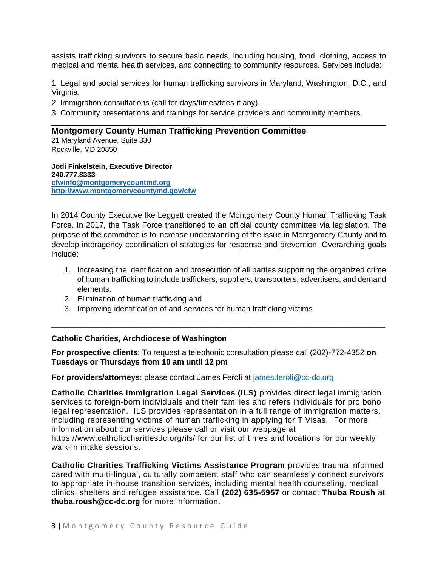assists trafficking survivors to secure basic needs, including housing, food, clothing, access to medical and mental health services, and connecting to community resources. Services include:

1. Legal and social services for human trafficking survivors in Maryland, Washington, D.C., and Virginia.

2. Immigration consultations (call for days/times/fees if any).

3. Community presentations and trainings for service providers and community members.

## **Montgomery County Human Trafficking Prevention Committee**

21 Maryland Avenue, Suite 330 Rockville, MD 20850

**Jodi Finkelstein, Executive Director 240.777.8333 [cfwinfo@montgomerycountmd.org](mailto:cfwinfo@montgomerycountmd.org) <http://www.montgomerycountymd.gov/cfw>**

In 2014 County Executive Ike Leggett created the Montgomery County Human Trafficking Task Force. In 2017, the Task Force transitioned to an official county committee via legislation. The purpose of the committee is to increase understanding of the issue in Montgomery County and to develop interagency coordination of strategies for response and prevention. Overarching goals include:

- 1. Increasing the identification and prosecution of all parties supporting the organized crime of human trafficking to include traffickers, suppliers, transporters, advertisers, and demand elements.
- 2. Elimination of human trafficking and
- 3. Improving identification of and services for human trafficking victims

# **Catholic Charities, Archdiocese of Washington**

**For prospective clients**: To request a telephonic consultation please call (202)-772-4352 **on Tuesdays or Thursdays from 10 am until 12 pm**

\_\_\_\_\_\_\_\_\_\_\_\_\_\_\_\_\_\_\_\_\_\_\_\_\_\_\_\_\_\_\_\_\_\_\_\_\_\_\_\_\_\_\_\_\_\_\_\_\_\_\_\_\_\_\_\_\_\_\_\_\_\_\_\_\_\_\_\_\_\_\_\_\_\_\_\_\_\_\_\_\_\_\_\_

**For providers/attorneys**: please contact James Feroli at [james.feroli@cc-dc.org](mailto:james.feroli@cc-dc.org)

**Catholic Charities Immigration Legal Services (ILS)** provides direct legal immigration services to foreign-born individuals and their families and refers individuals for pro bono legal representation. ILS provides representation in a full range of immigration matters, including representing victims of human trafficking in applying for T Visas. For more information about our services please call or visit our webpage at [https://www.catholiccharitiesdc.org/ils/](https://na01.safelinks.protection.outlook.com/?url=https%3A%2F%2Fwww.catholiccharitiesdc.org%2Fils%2F&data=01%7C01%7CJodi.Finkelstein%40montgomerycountymd.gov%7C66149cf10c464f78140d08d540dcd7ab%7C6e01b1f9b1e54073ac97778069a0ad64%7C1&sdata=168%2FPIhIq9MboucT6V2%2FwlxorprA0JVQqQ%2FmU9nVyGI%3D&reserved=0) for our list of times and locations for our weekly walk-in intake sessions.

**Catholic Charities Trafficking Victims Assistance Program** provides trauma informed cared with multi-lingual, culturally competent staff who can seamlessly connect survivors to appropriate in-house transition services, including mental health counseling, medical clinics, shelters and refugee assistance. Call **(202) 635-5957** or contact **Thuba Roush** at **[thuba.roush@cc-dc.org](mailto:thuba.roush@cc-dc.org)** for more information.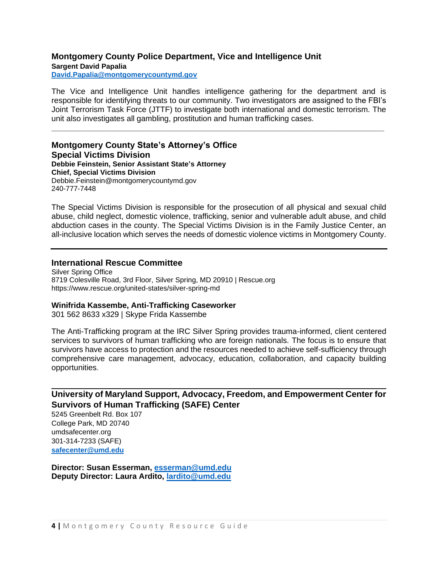## **Montgomery County Police Department, Vice and Intelligence Unit Sargent David Papalia**

**[David.Papalia@montgomerycountymd.gov](mailto:David.Papalia@montgomerycountymd.gov)**

The Vice and Intelligence Unit handles intelligence gathering for the department and is responsible for identifying threats to our community. Two investigators are assigned to the FBI's Joint Terrorism Task Force (JTTF) to investigate both international and domestic terrorism. The unit also investigates all gambling, prostitution and human trafficking cases.

**\_\_\_\_\_\_\_\_\_\_\_\_\_\_\_\_\_\_\_\_\_\_\_\_\_\_\_\_\_\_\_\_\_\_\_\_\_\_\_\_\_\_\_\_\_\_\_\_\_\_\_\_\_\_\_\_\_\_\_\_\_\_\_\_\_\_\_\_\_\_\_\_\_\_\_\_**

**Montgomery County State's Attorney's Office Special Victims Division Debbie Feinstein, Senior Assistant State's Attorney Chief, Special Victims Division** Debbie.Feinstein@montgomerycountymd.gov 240-777-7448

The Special Victims Division is responsible for the prosecution of all physical and sexual child abuse, child neglect, domestic violence, trafficking, senior and vulnerable adult abuse, and child abduction cases in the county. The Special Victims Division is in the Family Justice Center, an all-inclusive location which serves the needs of domestic violence victims in Montgomery County.

## **International Rescue Committee**

Silver Spring Office 8719 Colesville Road, 3rd Floor, Silver Spring, MD 20910 | Rescue.org https://www.rescue.org/united-states/silver-spring-md

## **Winifrida Kassembe, Anti-Trafficking Caseworker**

301 562 8633 x329 | Skype Frida Kassembe

The Anti-Trafficking program at the IRC Silver Spring provides trauma-informed, client centered services to survivors of human trafficking who are foreign nationals. The focus is to ensure that survivors have access to protection and the resources needed to achieve self-sufficiency through comprehensive care management, advocacy, education, collaboration, and capacity building opportunities.

# **University of Maryland Support, Advocacy, Freedom, and Empowerment Center for Survivors of Human Trafficking (SAFE) Center**

5245 Greenbelt Rd. Box 107 College Park, MD 20740 umdsafecenter.org 301-314-7233 (SAFE) **[safecenter@umd.edu](mailto:safecenter@umd.edu)**

**Director: Susan Esserman, [esserman@umd.edu](mailto:esserman@umd.edu) Deputy Director: Laura Ardito, [lardito@umd.edu](mailto:lardito@umd.edu)**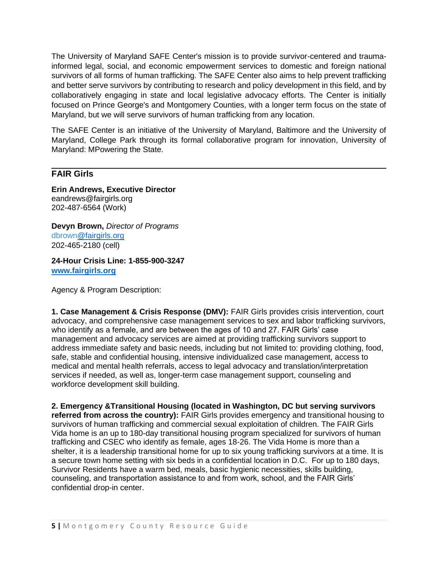The University of Maryland SAFE Center's mission is to provide survivor-centered and traumainformed legal, social, and economic empowerment services to domestic and foreign national survivors of all forms of human trafficking. The SAFE Center also aims to help prevent trafficking and better serve survivors by contributing to research and policy development in this field, and by collaboratively engaging in state and local legislative advocacy efforts. The Center is initially focused on Prince George's and Montgomery Counties, with a longer term focus on the state of Maryland, but we will serve survivors of human trafficking from any location.

The SAFE Center is an initiative of the University of Maryland, Baltimore and the University of Maryland, College Park through its formal collaborative program for innovation, University of Maryland: MPowering the State.

# **FAIR Girls**

**Erin Andrews, Executive Director** eandrews@fairgirls.org 202-487-6564 (Work)

**Devyn Brown,** *Director of Programs* dbrow[n@fairgirls.org](mailto:ssigamoni@fairgirls.org) 202-465-2180 (cell)

**24-Hour Crisis Line: 1-855-900-3247 www.fairgirls.org**

Agency & Program Description:

**1. Case Management & Crisis Response (DMV):** FAIR Girls provides crisis intervention, court advocacy, and comprehensive case management services to sex and labor trafficking survivors, who identify as a female, and are between the ages of 10 and 27. FAIR Girls' case management and advocacy services are aimed at providing trafficking survivors support to address immediate safety and basic needs, including but not limited to: providing clothing, food, safe, stable and confidential housing, intensive individualized case management, access to medical and mental health referrals, access to legal advocacy and translation/interpretation services if needed, as well as, longer-term case management support, counseling and workforce development skill building.

**2. Emergency &Transitional Housing (located in Washington, DC but serving survivors referred from across the country):** FAIR Girls provides emergency and transitional housing to survivors of human trafficking and commercial sexual exploitation of children. The FAIR Girls Vida home is an up to 180-day transitional housing program specialized for survivors of human trafficking and CSEC who identify as female, ages 18-26. The Vida Home is more than a shelter, it is a leadership transitional home for up to six young trafficking survivors at a time. It is a secure town home setting with six beds in a confidential location in D.C. For up to 180 days, Survivor Residents have a warm bed, meals, basic hygienic necessities, skills building, counseling, and transportation assistance to and from work, school, and the FAIR Girls' confidential drop-in center.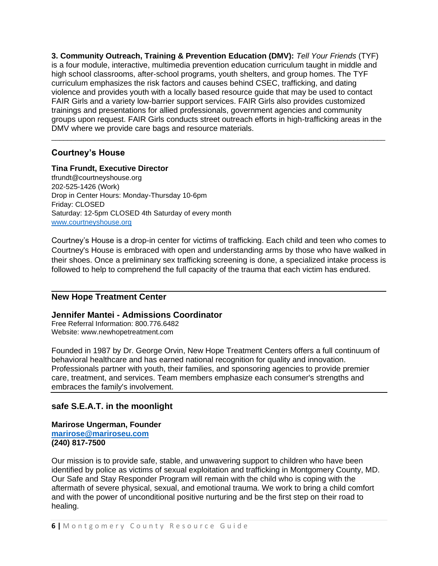**3. Community Outreach, Training & Prevention Education (DMV):** *Tell Your Friends* (TYF) is a four module, interactive, multimedia prevention education curriculum taught in middle and high school classrooms, after-school programs, youth shelters, and group homes. The TYF curriculum emphasizes the risk factors and causes behind CSEC, trafficking, and dating violence and provides youth with a locally based resource guide that may be used to contact FAIR Girls and a variety low-barrier support services. FAIR Girls also provides customized trainings and presentations for allied professionals, government agencies and community groups upon request. FAIR Girls conducts street outreach efforts in high-trafficking areas in the DMV where we provide care bags and resource materials.

\_\_\_\_\_\_\_\_\_\_\_\_\_\_\_\_\_\_\_\_\_\_\_\_\_\_\_\_\_\_\_\_\_\_\_\_\_\_\_\_\_\_\_\_\_\_\_\_\_\_\_\_\_\_\_\_\_\_\_\_\_\_\_\_\_\_\_\_\_\_\_\_\_\_\_\_\_\_\_\_\_\_\_\_

# **Courtney's House**

## **Tina Frundt, Executive Director**

tfrundt@courtneyshouse.org 202-525-1426 (Work) Drop in Center Hours: Monday-Thursday 10-6pm Friday: CLOSED Saturday: 12-5pm CLOSED 4th Saturday of every month [www.courtneyshouse.org](http://www.courtneyshouse.org/)

Courtney's House is a drop-in center for victims of trafficking. Each child and teen who comes to Courtney's House is embraced with open and understanding arms by those who have walked in their shoes. Once a preliminary sex trafficking screening is done, a specialized intake process is followed to help to comprehend the full capacity of the trauma that each victim has endured.

# **New Hope Treatment Center**

## **Jennifer Mantei - Admissions Coordinator**

Free Referral Information: 800.776.6482 Website: www.newhopetreatment.com

Founded in 1987 by Dr. George Orvin, New Hope Treatment Centers offers a full continuum of behavioral healthcare and has earned national recognition for quality and innovation. Professionals partner with youth, their families, and sponsoring agencies to provide premier care, treatment, and services. Team members emphasize each consumer's strengths and embraces the family's involvement.

# **safe S.E.A.T. in the moonlight**

**Marirose Ungerman, Founder [marirose@mariroseu.com](mailto:marirose@mariroseu.com) (240) 817-7500**

Our mission is to provide safe, stable, and unwavering support to children who have been identified by police as victims of sexual exploitation and trafficking in Montgomery County, MD. Our Safe and Stay Responder Program will remain with the child who is coping with the aftermath of severe physical, sexual, and emotional trauma. We work to bring a child comfort and with the power of unconditional positive nurturing and be the first step on their road to healing.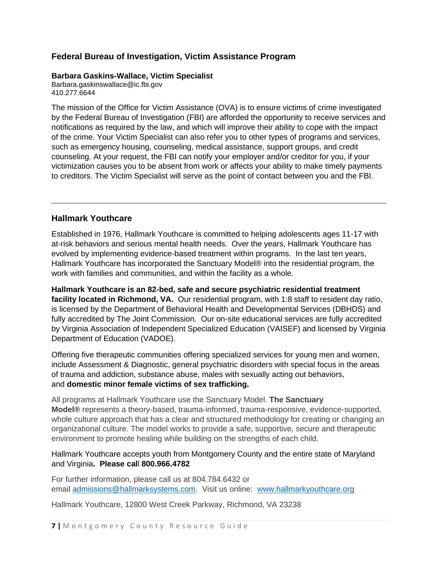# **Federal Bureau of Investigation, Victim Assistance Program**

## **Barbara Gaskins-Wallace, Victim Specialist**

Barbara.gaskinswallace@ic.fbi.gov 410.277.6644

The mission of the Office for Victim Assistance (OVA) is to ensure victims of crime investigated by the Federal Bureau of Investigation (FBI) are afforded the opportunity to receive services and notifications as required by the law, and which will improve their ability to cope with the impact of the crime. Your Victim Specialist can also refer you to other types of programs and services, such as emergency housing, counseling, medical assistance, support groups, and credit counseling. At your request, the FBI can notify your employer and/or creditor for you, if your victimization causes you to be absent from work or affects your ability to make timely payments to creditors. The Victim Specialist will serve as the point of contact between you and the FBI.

# **Hallmark Youthcare**

Established in 1976, Hallmark Youthcare is committed to helping adolescents ages 11-17 with at-risk behaviors and serious mental health needs. Over the years, Hallmark Youthcare has evolved by implementing evidence-based treatment within programs. In the last ten years, Hallmark Youthcare has incorporated the Sanctuary Model® into the residential program, the work with families and communities, and within the facility as a whole.

**Hallmark Youthcare is an 82-bed, safe and secure psychiatric residential treatment facility located in Richmond, VA.** Our residential program, with 1:8 staff to resident day ratio, is licensed by the Department of Behavioral Health and Developmental Services (DBHDS) and fully accredited by The Joint Commission. Our on-site educational services are fully accredited by Virginia Association of Independent Specialized Education (VAISEF) and licensed by Virginia Department of Education (VADOE).

Offering five therapeutic communities offering specialized services for young men and women, include Assessment & Diagnostic, general psychiatric disorders with special focus in the areas of trauma and addiction, substance abuse, males with sexually acting out behaviors, and **domestic minor female victims of sex trafficking.**

All programs at Hallmark Youthcare use the Sanctuary Model. **The Sanctuary Model®** represents a theory-based, trauma-informed, trauma-responsive, evidence-supported, whole culture approach that has a clear and structured methodology for creating or changing an organizational culture. The model works to provide a safe, supportive, secure and therapeutic environment to promote healing while building on the strengths of each child.

# Hallmark Youthcare accepts youth from Montgomery County and the entire state of Maryland and Virginia**. Please cal**l **800.966.4782**

For further information, please call us at 804.784.6432 or email [admissions@hallmarksystems.com.](mailto:admissions@hallmarksystems.com) Visit us online: [www.hallmarkyouthcare.org](http://www.hallmarkyouthcare.org/)

Hallmark Youthcare, 12800 West Creek Parkway, Richmond, VA 23238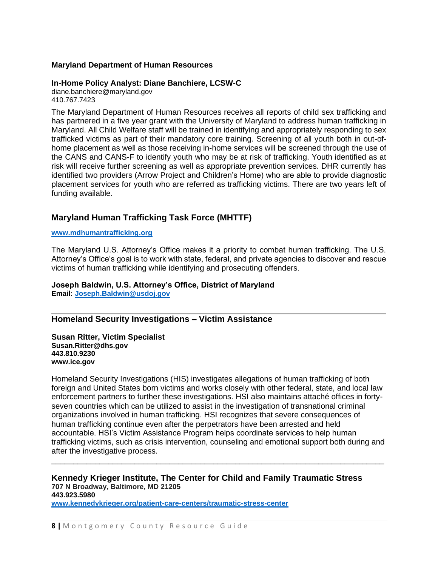## **Maryland Department of Human Resources**

## **In-Home Policy Analyst: Diane Banchiere, LCSW-C**

diane.banchiere@maryland.gov 410.767.7423

The Maryland Department of Human Resources receives all reports of child sex trafficking and has partnered in a five year grant with the University of Maryland to address human trafficking in Maryland. All Child Welfare staff will be trained in identifying and appropriately responding to sex trafficked victims as part of their mandatory core training. Screening of all youth both in out-ofhome placement as well as those receiving in-home services will be screened through the use of the CANS and CANS-F to identify youth who may be at risk of trafficking. Youth identified as at risk will receive further screening as well as appropriate prevention services. DHR currently has identified two providers (Arrow Project and Children's Home) who are able to provide diagnostic placement services for youth who are referred as trafficking victims. There are two years left of funding available.

# **Maryland Human Trafficking Task Force (MHTTF)**

### **[www.mdhumantrafficking.org](http://www.mdhumantrafficking.org/)**

The Maryland U.S. Attorney's Office makes it a priority to combat human trafficking. The U.S. Attorney's Office's goal is to work with state, federal, and private agencies to discover and rescue victims of human trafficking while identifying and prosecuting offenders.

### **Joseph Baldwin, U.S. Attorney's Office, District of Maryland Email: [Joseph.Baldwin@usdoj.gov](mailto:Joseph.Baldwin@usdoj.gov)**

# **Homeland Security Investigations – Victim Assistance**

**Susan Ritter, Victim Specialist Susan.Ritter@dhs.gov 443.810.9230 www.ice.gov**

Homeland Security Investigations (HIS) investigates allegations of human trafficking of both foreign and United States born victims and works closely with other federal, state, and local law enforcement partners to further these investigations. HSI also maintains attaché offices in fortyseven countries which can be utilized to assist in the investigation of transnational criminal organizations involved in human trafficking. HSI recognizes that severe consequences of human trafficking continue even after the perpetrators have been arrested and held accountable. HSI's Victim Assistance Program helps coordinate services to help human trafficking victims, such as crisis intervention, counseling and emotional support both during and after the investigative process.

\_\_\_\_\_\_\_\_\_\_\_\_\_\_\_\_\_\_\_\_\_\_\_\_\_\_\_\_\_\_\_\_\_\_\_\_\_\_\_\_\_\_\_\_\_\_\_\_\_\_\_\_\_\_\_\_\_\_\_\_\_\_\_\_\_\_\_\_\_\_\_\_\_\_\_\_

#### **Kennedy Krieger Institute, The Center for Child and Family Traumatic Stress 707 N Broadway, Baltimore, MD 21205 443.923.5980**

**[www.kennedykrieger.org/patient-care-centers/traumatic-stress-center](http://www.kennedykrieger.org/patient-care-centers/traumatic-stress-center)**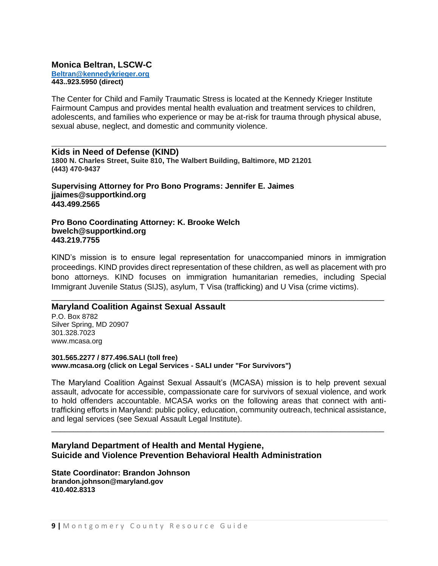## **Monica Beltran, LSCW-C [Beltran@kennedykrieger.org](mailto:Beltran@kennedykrieger.org) 443..923.5950 (direct)**

The Center for Child and Family Traumatic Stress is located at the Kennedy Krieger Institute Fairmount Campus and provides mental health evaluation and treatment services to children, adolescents, and families who experience or may be at-risk for trauma through physical abuse, sexual abuse, neglect, and domestic and community violence.

## **Kids in Need of Defense (KIND)**

**1800 N. Charles Street, Suite 810, The Walbert Building, Baltimore, MD 21201 (443) 470-9437**

**Supervising Attorney for Pro Bono Programs: Jennifer E. Jaimes jjaimes@supportkind.org 443.499.2565**

### **Pro Bono Coordinating Attorney: K. Brooke Welch bwelch@supportkind.org 443.219.7755**

KIND's mission is to ensure legal representation for unaccompanied minors in immigration proceedings. KIND provides direct representation of these children, as well as placement with pro bono attorneys. KIND focuses on immigration humanitarian remedies, including Special Immigrant Juvenile Status (SIJS), asylum, T Visa (trafficking) and U Visa (crime victims).

\_\_\_\_\_\_\_\_\_\_\_\_\_\_\_\_\_\_\_\_\_\_\_\_\_\_\_\_\_\_\_\_\_\_\_\_\_\_\_\_\_\_\_\_\_\_\_\_\_\_\_\_\_\_\_\_\_\_\_\_\_\_\_\_\_\_\_\_\_\_\_\_\_\_\_\_

# **Maryland Coalition Against Sexual Assault**

P.O. Box 8782 Silver Spring, MD 20907 301.328.7023 www.mcasa.org

## **301.565.2277 / 877.496.SALI (toll free) www.mcasa.org (click on Legal Services - SALI under "For Survivors")**

The Maryland Coalition Against Sexual Assault's (MCASA) mission is to help prevent sexual assault, advocate for accessible, compassionate care for survivors of sexual violence, and work to hold offenders accountable. MCASA works on the following areas that connect with antitrafficking efforts in Maryland: public policy, education, community outreach, technical assistance, and legal services (see Sexual Assault Legal Institute).

\_\_\_\_\_\_\_\_\_\_\_\_\_\_\_\_\_\_\_\_\_\_\_\_\_\_\_\_\_\_\_\_\_\_\_\_\_\_\_\_\_\_\_\_\_\_\_\_\_\_\_\_\_\_\_\_\_\_\_\_\_\_\_\_\_\_\_\_\_\_\_\_\_\_\_\_

# **Maryland Department of Health and Mental Hygiene, Suicide and Violence Prevention Behavioral Health Administration**

**State Coordinator: Brandon Johnson brandon.johnson@maryland.gov 410.402.8313**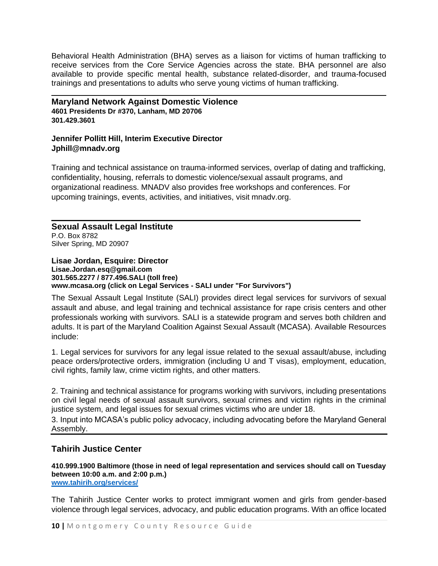Behavioral Health Administration (BHA) serves as a liaison for victims of human trafficking to receive services from the Core Service Agencies across the state. BHA personnel are also available to provide specific mental health, substance related-disorder, and trauma-focused trainings and presentations to adults who serve young victims of human trafficking.

**Maryland Network Against Domestic Violence 4601 Presidents Dr #370, Lanham, MD 20706 301.429.3601**

# **Jennifer Pollitt Hill, Interim Executive Director Jphill@mnadv.org**

Training and technical assistance on trauma-informed services, overlap of dating and trafficking, confidentiality, housing, referrals to domestic violence/sexual assault programs, and organizational readiness. MNADV also provides free workshops and conferences. For upcoming trainings, events, activities, and initiatives, visit mnadv.org.

**Sexual Assault Legal Institute** P.O. Box 8782 Silver Spring, MD 20907

## **Lisae Jordan, Esquire: Director Lisae.Jordan.esq@gmail.com 301.565.2277 / 877.496.SALI (toll free) www.mcasa.org (click on Legal Services - SALI under "For Survivors")**

The Sexual Assault Legal Institute (SALI) provides direct legal services for survivors of sexual assault and abuse, and legal training and technical assistance for rape crisis centers and other professionals working with survivors. SALI is a statewide program and serves both children and adults. It is part of the Maryland Coalition Against Sexual Assault (MCASA). Available Resources include:

1. Legal services for survivors for any legal issue related to the sexual assault/abuse, including peace orders/protective orders, immigration (including U and T visas), employment, education, civil rights, family law, crime victim rights, and other matters.

2. Training and technical assistance for programs working with survivors, including presentations on civil legal needs of sexual assault survivors, sexual crimes and victim rights in the criminal justice system, and legal issues for sexual crimes victims who are under 18.

3. Input into MCASA's public policy advocacy, including advocating before the Maryland General Assembly.

# **Tahirih Justice Center**

**410.999.1900 Baltimore (those in need of legal representation and services should call on Tuesday between 10:00 a.m. and 2:00 p.m.) [www.tahirih.org/services/](http://www.tahirih.org/services/)**

The Tahirih Justice Center works to protect immigrant women and girls from gender-based violence through legal services, advocacy, and public education programs. With an office located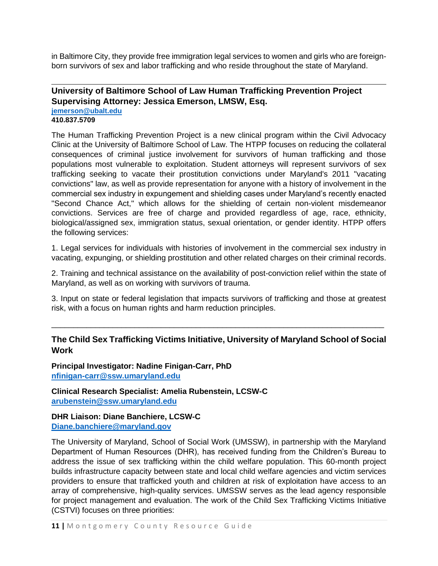in Baltimore City, they provide free immigration legal services to women and girls who are foreignborn survivors of sex and labor trafficking and who reside throughout the state of Maryland.

# **University of Baltimore School of Law Human Trafficking Prevention Project Supervising Attorney: Jessica Emerson, LMSW, Esq. [jemerson@ubalt.edu](mailto:jemerson@ubalt.edu)**

## **410.837.5709**

The Human Trafficking Prevention Project is a new clinical program within the Civil Advocacy Clinic at the University of Baltimore School of Law. The HTPP focuses on reducing the collateral consequences of criminal justice involvement for survivors of human trafficking and those populations most vulnerable to exploitation. Student attorneys will represent survivors of sex trafficking seeking to vacate their prostitution convictions under Maryland's 2011 "vacating convictions" law, as well as provide representation for anyone with a history of involvement in the commercial sex industry in expungement and shielding cases under Maryland's recently enacted "Second Chance Act," which allows for the shielding of certain non-violent misdemeanor convictions. Services are free of charge and provided regardless of age, race, ethnicity, biological/assigned sex, immigration status, sexual orientation, or gender identity. HTPP offers the following services:

1. Legal services for individuals with histories of involvement in the commercial sex industry in vacating, expunging, or shielding prostitution and other related charges on their criminal records.

2. Training and technical assistance on the availability of post-conviction relief within the state of Maryland, as well as on working with survivors of trauma.

3. Input on state or federal legislation that impacts survivors of trafficking and those at greatest risk, with a focus on human rights and harm reduction principles.

# **The Child Sex Trafficking Victims Initiative, University of Maryland School of Social Work**

\_\_\_\_\_\_\_\_\_\_\_\_\_\_\_\_\_\_\_\_\_\_\_\_\_\_\_\_\_\_\_\_\_\_\_\_\_\_\_\_\_\_\_\_\_\_\_\_\_\_\_\_\_\_\_\_\_\_\_\_\_\_\_\_\_\_\_\_\_\_\_\_\_\_\_\_

**Principal Investigator: Nadine Finigan-Carr, PhD [nfinigan-carr@ssw.umaryland.edu](mailto:nfinigan-carr@ssw.umaryland.edu)**

**Clinical Research Specialist: Amelia Rubenstein, LCSW-C [arubenstein@ssw.umaryland.edu](mailto:arubenstein@ssw.umaryland.edu)**

**DHR Liaison: Diane Banchiere, LCSW-C [Diane.banchiere@maryland.gov](mailto:Diane.banchiere@maryland.gov)**

The University of Maryland, School of Social Work (UMSSW), in partnership with the Maryland Department of Human Resources (DHR), has received funding from the Children's Bureau to address the issue of sex trafficking within the child welfare population. This 60-month project builds infrastructure capacity between state and local child welfare agencies and victim services providers to ensure that trafficked youth and children at risk of exploitation have access to an array of comprehensive, high-quality services. UMSSW serves as the lead agency responsible for project management and evaluation. The work of the Child Sex Trafficking Victims Initiative (CSTVI) focuses on three priorities: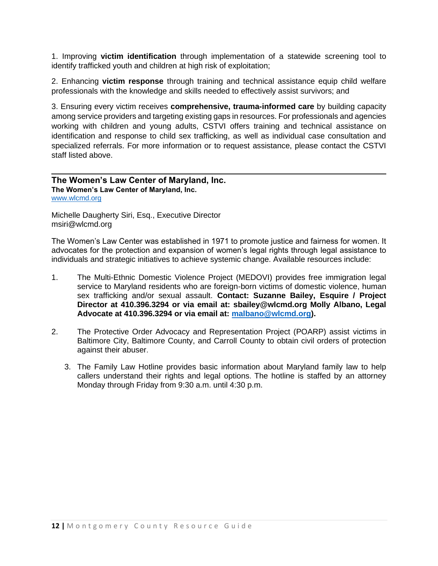1. Improving **victim identification** through implementation of a statewide screening tool to identify trafficked youth and children at high risk of exploitation;

2. Enhancing **victim response** through training and technical assistance equip child welfare professionals with the knowledge and skills needed to effectively assist survivors; and

3. Ensuring every victim receives **comprehensive, trauma-informed care** by building capacity among service providers and targeting existing gaps in resources. For professionals and agencies working with children and young adults, CSTVI offers training and technical assistance on identification and response to child sex trafficking, as well as individual case consultation and specialized referrals. For more information or to request assistance, please contact the CSTVI staff listed above.

## **The Women's Law Center of Maryland, Inc. The Women's Law Center of Maryland, Inc.** [www.wlcmd.org](http://www.wlcmd.org/)

Michelle Daugherty Siri, Esq., Executive Director msiri@wlcmd.org

The Women's Law Center was established in 1971 to promote justice and fairness for women. It advocates for the protection and expansion of women's legal rights through legal assistance to individuals and strategic initiatives to achieve systemic change. Available resources include:

- 1. The Multi-Ethnic Domestic Violence Project (MEDOVI) provides free immigration legal service to Maryland residents who are foreign-born victims of domestic violence, human sex trafficking and/or sexual assault. **Contact: Suzanne Bailey, Esquire / Project Director at 410.396.3294 or via email at: sbailey@wlcmd.org Molly Albano, Legal Advocate at 410.396.3294 or via email at: [malbano@wlcmd.org\)](mailto:malbano@wlcmd.org).**
- 2. The Protective Order Advocacy and Representation Project (POARP) assist victims in Baltimore City, Baltimore County, and Carroll County to obtain civil orders of protection against their abuser.
	- 3. The Family Law Hotline provides basic information about Maryland family law to help callers understand their rights and legal options. The hotline is staffed by an attorney Monday through Friday from 9:30 a.m. until 4:30 p.m.